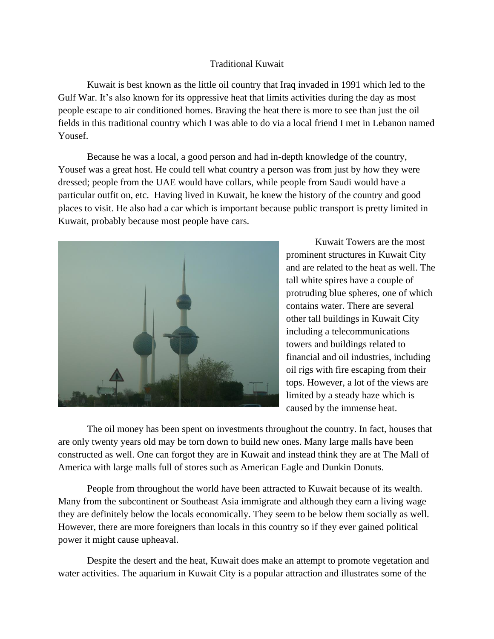## Traditional Kuwait

Kuwait is best known as the little oil country that Iraq invaded in 1991 which led to the Gulf War. It's also known for its oppressive heat that limits activities during the day as most people escape to air conditioned homes. Braving the heat there is more to see than just the oil fields in this traditional country which I was able to do via a local friend I met in Lebanon named Yousef.

Because he was a local, a good person and had in-depth knowledge of the country, Yousef was a great host. He could tell what country a person was from just by how they were dressed; people from the UAE would have collars, while people from Saudi would have a particular outfit on, etc. Having lived in Kuwait, he knew the history of the country and good places to visit. He also had a car which is important because public transport is pretty limited in Kuwait, probably because most people have cars.



Kuwait Towers are the most prominent structures in Kuwait City and are related to the heat as well. The tall white spires have a couple of protruding blue spheres, one of which contains water. There are several other tall buildings in Kuwait City including a telecommunications towers and buildings related to financial and oil industries, including oil rigs with fire escaping from their tops. However, a lot of the views are limited by a steady haze which is caused by the immense heat.

The oil money has been spent on investments throughout the country. In fact, houses that are only twenty years old may be torn down to build new ones. Many large malls have been constructed as well. One can forgot they are in Kuwait and instead think they are at The Mall of America with large malls full of stores such as American Eagle and Dunkin Donuts.

People from throughout the world have been attracted to Kuwait because of its wealth. Many from the subcontinent or Southeast Asia immigrate and although they earn a living wage they are definitely below the locals economically. They seem to be below them socially as well. However, there are more foreigners than locals in this country so if they ever gained political power it might cause upheaval.

Despite the desert and the heat, Kuwait does make an attempt to promote vegetation and water activities. The aquarium in Kuwait City is a popular attraction and illustrates some of the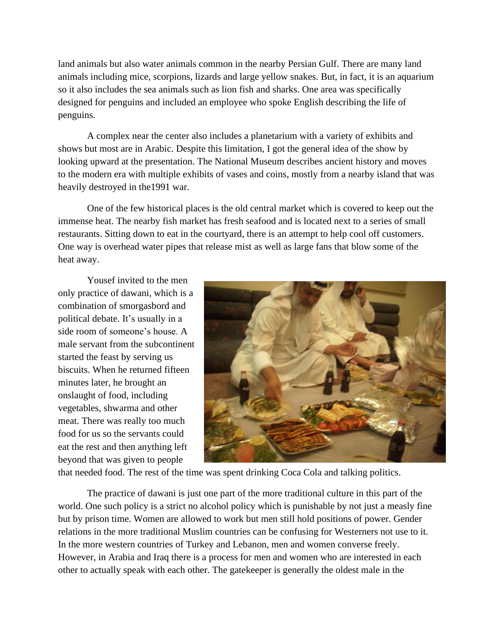land animals but also water animals common in the nearby Persian Gulf. There are many land animals including mice, scorpions, lizards and large yellow snakes. But, in fact, it is an aquarium so it also includes the sea animals such as lion fish and sharks. One area was specifically designed for penguins and included an employee who spoke English describing the life of penguins.

A complex near the center also includes a planetarium with a variety of exhibits and shows but most are in Arabic. Despite this limitation, I got the general idea of the show by looking upward at the presentation. The National Museum describes ancient history and moves to the modern era with multiple exhibits of vases and coins, mostly from a nearby island that was heavily destroyed in the1991 war.

One of the few historical places is the old central market which is covered to keep out the immense heat. The nearby fish market has fresh seafood and is located next to a series of small restaurants. Sitting down to eat in the courtyard, there is an attempt to help cool off customers. One way is overhead water pipes that release mist as well as large fans that blow some of the heat away.

Yousef invited to the men only practice of dawani, which is a combination of smorgasbord and political debate. It's usually in a side room of someone's house. A male servant from the subcontinent started the feast by serving us biscuits. When he returned fifteen minutes later, he brought an onslaught of food, including vegetables, shwarma and other meat. There was really too much food for us so the servants could eat the rest and then anything left beyond that was given to people



that needed food. The rest of the time was spent drinking Coca Cola and talking politics.

The practice of dawani is just one part of the more traditional culture in this part of the world. One such policy is a strict no alcohol policy which is punishable by not just a measly fine but by prison time. Women are allowed to work but men still hold positions of power. Gender relations in the more traditional Muslim countries can be confusing for Westerners not use to it. In the more western countries of Turkey and Lebanon, men and women converse freely. However, in Arabia and Iraq there is a process for men and women who are interested in each other to actually speak with each other. The gatekeeper is generally the oldest male in the